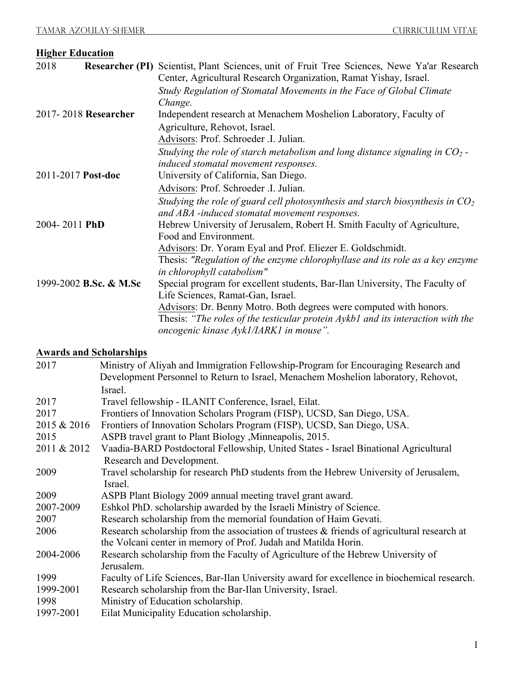| <b>Higher Education</b> |                        |                                                                                                             |  |
|-------------------------|------------------------|-------------------------------------------------------------------------------------------------------------|--|
| 2018                    |                        | Researcher (PI) Scientist, Plant Sciences, unit of Fruit Tree Sciences, Newe Ya'ar Research                 |  |
|                         |                        | Center, Agricultural Research Organization, Ramat Yishay, Israel.                                           |  |
|                         |                        | Study Regulation of Stomatal Movements in the Face of Global Climate                                        |  |
|                         |                        | Change.                                                                                                     |  |
|                         | 2017-2018 Researcher   | Independent research at Menachem Moshelion Laboratory, Faculty of                                           |  |
|                         |                        | Agriculture, Rehovot, Israel.                                                                               |  |
|                         |                        | Advisors: Prof. Schroeder .I. Julian.                                                                       |  |
|                         |                        | Studying the role of starch metabolism and long distance signaling in $CO_2$ -                              |  |
|                         |                        | induced stomatal movement responses.                                                                        |  |
| 2011-2017 Post-doc      |                        | University of California, San Diego.                                                                        |  |
|                         |                        | Advisors: Prof. Schroeder .I. Julian.                                                                       |  |
|                         |                        | Studying the role of guard cell photosynthesis and starch biosynthesis in $CO2$                             |  |
|                         |                        | and ABA -induced stomatal movement responses.                                                               |  |
| 2004-2011 PhD           |                        | Hebrew University of Jerusalem, Robert H. Smith Faculty of Agriculture,                                     |  |
|                         |                        | Food and Environment.                                                                                       |  |
|                         |                        | Advisors: Dr. Yoram Eyal and Prof. Eliezer E. Goldschmidt.                                                  |  |
|                         |                        | Thesis: "Regulation of the enzyme chlorophyllase and its role as a key enzyme<br>in chlorophyll catabolism" |  |
|                         | 1999-2002 B.Sc. & M.Sc | Special program for excellent students, Bar-Ilan University, The Faculty of                                 |  |
|                         |                        | Life Sciences, Ramat-Gan, Israel.                                                                           |  |
|                         |                        | Advisors: Dr. Benny Motro. Both degrees were computed with honors.                                          |  |
|                         |                        | Thesis: "The roles of the testicular protein Aykb1 and its interaction with the                             |  |
|                         |                        | oncogenic kinase Ayk1/IARK1 in mouse".                                                                      |  |

## **Awards and Scholarships**

| Ministry of Aliyah and Immigration Fellowship-Program for Encouraging Research and             |  |  |
|------------------------------------------------------------------------------------------------|--|--|
| Development Personnel to Return to Israel, Menachem Moshelion laboratory, Rehovot,             |  |  |
| Israel.                                                                                        |  |  |
| Travel fellowship - ILANIT Conference, Israel, Eilat.                                          |  |  |
| Frontiers of Innovation Scholars Program (FISP), UCSD, San Diego, USA.                         |  |  |
| Frontiers of Innovation Scholars Program (FISP), UCSD, San Diego, USA.                         |  |  |
| ASPB travel grant to Plant Biology , Minneapolis, 2015.                                        |  |  |
| Vaadia-BARD Postdoctoral Fellowship, United States - Israel Binational Agricultural            |  |  |
| Research and Development.                                                                      |  |  |
| Travel scholarship for research PhD students from the Hebrew University of Jerusalem,          |  |  |
| Israel.                                                                                        |  |  |
| ASPB Plant Biology 2009 annual meeting travel grant award.                                     |  |  |
| Eshkol PhD. scholarship awarded by the Israeli Ministry of Science.                            |  |  |
| Research scholarship from the memorial foundation of Haim Gevati.                              |  |  |
| Research scholarship from the association of trustees $\&$ friends of agricultural research at |  |  |
| the Volcani center in memory of Prof. Judah and Matilda Horin.                                 |  |  |
| Research scholarship from the Faculty of Agriculture of the Hebrew University of               |  |  |
| Jerusalem.                                                                                     |  |  |
| Faculty of Life Sciences, Bar-Ilan University award for excellence in biochemical research.    |  |  |
| Research scholarship from the Bar-Ilan University, Israel.                                     |  |  |
| Ministry of Education scholarship.                                                             |  |  |
| Eilat Municipality Education scholarship.                                                      |  |  |
|                                                                                                |  |  |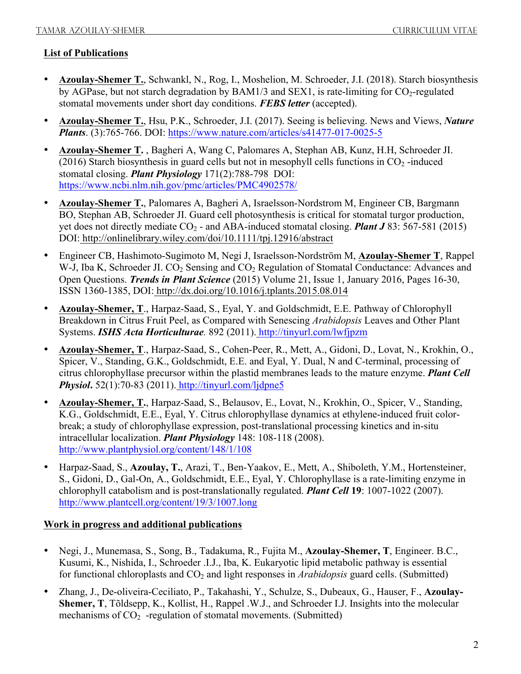## **List of Publications**

- **Azoulay-Shemer T.**, Schwankl, N., Rog, I., Moshelion, M. Schroeder, J.I. (2018). Starch biosynthesis by AGPase, but not starch degradation by  $BAM1/3$  and  $SEX1$ , is rate-limiting for CO<sub>2</sub>-regulated stomatal movements under short day conditions. *FEBS letter* (accepted).
- **Azoulay-Shemer T.**, Hsu, P.K., Schroeder, J.I. (2017). Seeing is believing. News and Views, *Nature Plants*. (3):765-766. DOI: https://www.nature.com/articles/s41477-017-0025-5
- **Azoulay-Shemer T.** , Bagheri A, Wang C, Palomares A, Stephan AB, Kunz, H.H, Schroeder JI. (2016) Starch biosynthesis in guard cells but not in mesophyll cells functions in  $CO<sub>2</sub>$ -induced stomatal closing. *Plant Physiology* 171(2):788-798 DOI: https://www.ncbi.nlm.nih.gov/pmc/articles/PMC4902578/
- **Azoulay-Shemer T.**, Palomares A, Bagheri A, Israelsson-Nordstrom M, Engineer CB, Bargmann BO, Stephan AB, Schroeder JI. Guard cell photosynthesis is critical for stomatal turgor production, yet does not directly mediate  $CO_2$  - and ABA-induced stomatal closing. *Plant J* 83: 567-581 (2015) DOI: http://onlinelibrary.wiley.com/doi/10.1111/tpj.12916/abstract
- Engineer CB, Hashimoto-Sugimoto M, Negi J, Israelsson-Nordström M, **Azoulay-Shemer T**, Rappel W-J, Iba K, Schroeder JI. CO<sub>2</sub> Sensing and CO<sub>2</sub> Regulation of Stomatal Conductance: Advances and Open Questions. *Trends in Plant Science* (2015) Volume 21, Issue 1, January 2016, Pages 16-30, ISSN 1360-1385, DOI: http://dx.doi.org/10.1016/j.tplants.2015.08.014
- **Azoulay-Shemer, T**., Harpaz-Saad, S., Eyal, Y. and Goldschmidt, E.E. Pathway of Chlorophyll Breakdown in Citrus Fruit Peel, as Compared with Senescing *Arabidopsis* Leaves and Other Plant Systems. *ISHS Acta Horticulturae.* 892 (2011). http://tinyurl.com/lwfjpzm
- **Azoulay-Shemer, T**., Harpaz-Saad, S., Cohen-Peer, R., Mett, A., Gidoni, D., Lovat, N., Krokhin, O., Spicer, V., Standing, G.K., Goldschmidt, E.E. and Eyal, Y. Dual, N and C-terminal, processing of citrus chlorophyllase precursor within the plastid membranes leads to the mature enzyme. *Plant Cell Physiol***.** 52(1):70-83 (2011). http://tinyurl.com/ljdpne5
- **Azoulay-Shemer, T.**, Harpaz-Saad, S., Belausov, E., Lovat, N., Krokhin, O., Spicer, V., Standing, K.G., Goldschmidt, E.E., Eyal, Y. Citrus chlorophyllase dynamics at ethylene-induced fruit colorbreak; a study of chlorophyllase expression, post-translational processing kinetics and in-situ intracellular localization. *Plant Physiology* 148: 108-118 (2008). http://www.plantphysiol.org/content/148/1/108
- Harpaz-Saad, S., **Azoulay, T.**, Arazi, T., Ben-Yaakov, E., Mett, A., Shiboleth, Y.M., Hortensteiner, S., Gidoni, D., Gal-On, A., Goldschmidt, E.E., Eyal, Y. Chlorophyllase is a rate-limiting enzyme in chlorophyll catabolism and is post-translationally regulated. *Plant Cell* **19**: 1007-1022 (2007). http://www.plantcell.org/content/19/3/1007.long

## **Work in progress and additional publications**

- Negi, J., Munemasa, S., Song, B., Tadakuma, R., Fujita M., **Azoulay-Shemer, T**, Engineer. B.C., Kusumi, K., Nishida, I., Schroeder .I.J., Iba, K. Eukaryotic lipid metabolic pathway is essential for functional chloroplasts and CO<sub>2</sub> and light responses in *Arabidopsis* guard cells. (Submitted)
- Zhang, J., De-oliveira-Ceciliato, P., Takahashi, Y., Schulze, S., Dubeaux, G., Hauser, F., **Azoulay-Shemer, T**, Tõldsepp, K., Kollist, H., Rappel .W.J., and Schroeder I.J. Insights into the molecular mechanisms of  $CO<sub>2</sub>$  -regulation of stomatal movements. (Submitted)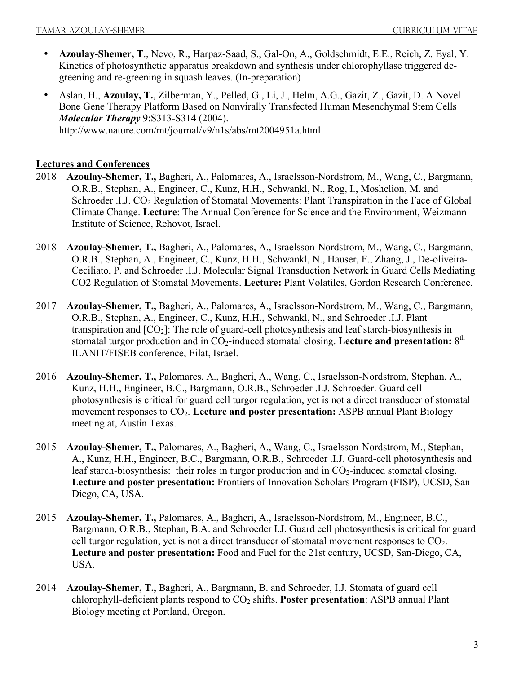- **Azoulay-Shemer, T**., Nevo, R., Harpaz-Saad, S., Gal-On, A., Goldschmidt, E.E., Reich, Z. Eyal, Y. Kinetics of photosynthetic apparatus breakdown and synthesis under chlorophyllase triggered degreening and re-greening in squash leaves. (In-preparation)
- Aslan, H., **Azoulay, T.**, Zilberman, Y., Pelled, G., Li, J., Helm, A.G., Gazit, Z., Gazit, D. A Novel Bone Gene Therapy Platform Based on Nonvirally Transfected Human Mesenchymal Stem Cells *Molecular Therapy* 9:S313-S314 (2004). http://www.nature.com/mt/journal/v9/n1s/abs/mt2004951a.html

## **Lectures and Conferences**

- 2018 **Azoulay-Shemer, T.,** Bagheri, A., Palomares, A., Israelsson-Nordstrom, M., Wang, C., Bargmann, O.R.B., Stephan, A., Engineer, C., Kunz, H.H., Schwankl, N., Rog, I., Moshelion, M. and Schroeder .I.J. CO<sub>2</sub> Regulation of Stomatal Movements: Plant Transpiration in the Face of Global Climate Change. **Lecture**: The Annual Conference for Science and the Environment, Weizmann Institute of Science, Rehovot, Israel.
- 2018 **Azoulay-Shemer, T.,** Bagheri, A., Palomares, A., Israelsson-Nordstrom, M., Wang, C., Bargmann, O.R.B., Stephan, A., Engineer, C., Kunz, H.H., Schwankl, N., Hauser, F., Zhang, J., De-oliveira-Ceciliato, P. and Schroeder .I.J. Molecular Signal Transduction Network in Guard Cells Mediating CO2 Regulation of Stomatal Movements. **Lecture:** Plant Volatiles, Gordon Research Conference.
- 2017 **Azoulay-Shemer, T.,** Bagheri, A., Palomares, A., Israelsson-Nordstrom, M., Wang, C., Bargmann, O.R.B., Stephan, A., Engineer, C., Kunz, H.H., Schwankl, N., and Schroeder .I.J. Plant transpiration and  $[CO<sub>2</sub>]$ : The role of guard-cell photosynthesis and leaf starch-biosynthesis in stomatal turgor production and in CO<sub>2</sub>-induced stomatal closing. Lecture and presentation: 8<sup>th</sup> ILANIT/FISEB conference, Eilat, Israel.
- 2016 **Azoulay-Shemer, T.,** Palomares, A., Bagheri, A., Wang, C., Israelsson-Nordstrom, Stephan, A., Kunz, H.H., Engineer, B.C., Bargmann, O.R.B., Schroeder .I.J. Schroeder. Guard cell photosynthesis is critical for guard cell turgor regulation, yet is not a direct transducer of stomatal movement responses to CO2. **Lecture and poster presentation:** ASPB annual Plant Biology meeting at, Austin Texas.
- 2015 **Azoulay-Shemer, T.,** Palomares, A., Bagheri, A., Wang, C., Israelsson-Nordstrom, M., Stephan, A., Kunz, H.H., Engineer, B.C., Bargmann, O.R.B., Schroeder .I.J. Guard-cell photosynthesis and leaf starch-biosynthesis: their roles in turgor production and in  $CO<sub>2</sub>$ -induced stomatal closing. **Lecture and poster presentation:** Frontiers of Innovation Scholars Program (FISP), UCSD, San-Diego, CA, USA.
- 2015 **Azoulay-Shemer, T.,** Palomares, A., Bagheri, A., Israelsson-Nordstrom, M., Engineer, B.C., Bargmann, O.R.B., Stephan, B.A. and Schroeder I.J. Guard cell photosynthesis is critical for guard cell turgor regulation, yet is not a direct transducer of stomatal movement responses to CO2. **Lecture and poster presentation:** Food and Fuel for the 21st century, UCSD, San-Diego, CA, USA.
- 2014 **Azoulay-Shemer, T.,** Bagheri, A., Bargmann, B. and Schroeder, I.J. Stomata of guard cell chlorophyll-deficient plants respond to  $CO<sub>2</sub>$  shifts. Poster presentation: ASPB annual Plant Biology meeting at Portland, Oregon.